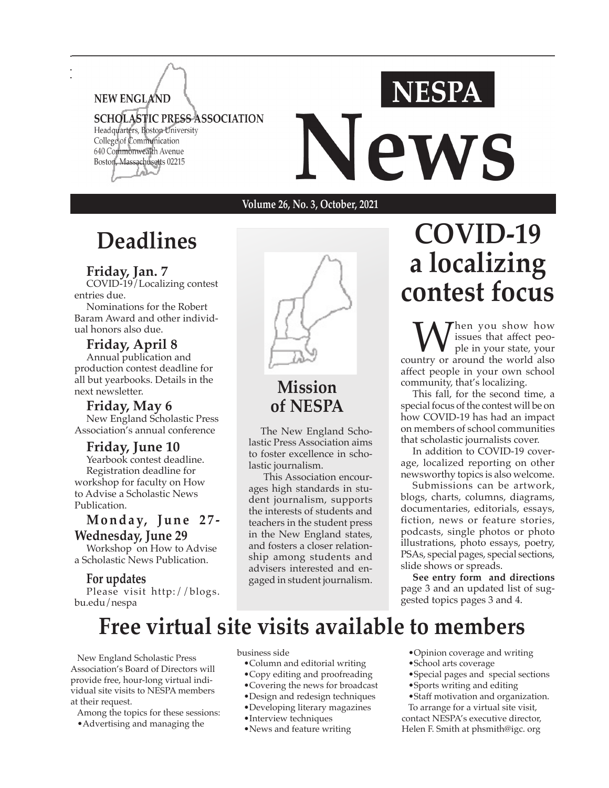

**Volume 26, No. 3, October, 2021**

# **Deadlines**

#### **Friday, Jan. 7**

COVID-19/Localizing contest entries due.

Nominations for the Robert Baram Award and other individual honors also due.

**Friday, April 8** Annual publication and production contest deadline for all but yearbooks. Details in the next newsletter.

**Friday, May 6** New England Scholastic Press Association's annual conference

**Friday, June 10** Yearbook contest deadline. Registration deadline for workshop for faculty on How to Advise a Scholastic News Publication.

### **M o n d a y, J u n e 2 7 - Wednesday, June 29**

Workshop on How to Advise a Scholastic News Publication.

#### **For updates**

Please visit http://blogs. bu.edu/nespa



**Mission of NESPA**

The New England Scholastic Press Association aims to foster excellence in scholastic journalism.

 This Association encourages high standards in student journalism, supports the interests of students and teachers in the student press in the New England states, and fosters a closer relationship among students and advisers interested and engaged in student journalism.

# **COVID-19 a localizing contest focus**

We issues that affect peo-<br>
country or around the world also issues that affect people in your state, your affect people in your own school community, that's localizing.

This fall, for the second time, a special focus of the contest will be on how COVID-19 has had an impact on members of school communities that scholastic journalists cover.

In addition to COVID-19 coverage, localized reporting on other newsworthy topics is also welcome.

Submissions can be artwork, blogs, charts, columns, diagrams, documentaries, editorials, essays, fiction, news or feature stories, podcasts, single photos or photo illustrations, photo essays, poetry, PSAs, special pages, special sections, slide shows or spreads.

**See entry form and directions**  page 3 and an updated list of suggested topics pages 3 and 4.

# **Free virtual site visits available to members**

 New England Scholastic Press Association's Board of Directors will provide free, hour-long virtual individual site visits to NESPA members at their request.

Among the topics for these sessions:

•Advertising and managing the

business side

- •Column and editorial writing
- •Copy editing and proofreading
- •Covering the news for broadcast
- •Design and redesign techniques
- •Developing literary magazines
- •Interview techniques
- •News and feature writing
- •Opinion coverage and writing
- •School arts coverage
- •Special pages and special sections
- •Sports writing and editing
- •Staff motivation and organization.

 To arrange for a virtual site visit, contact NESPA's executive director, Helen F. Smith at phsmith@igc. org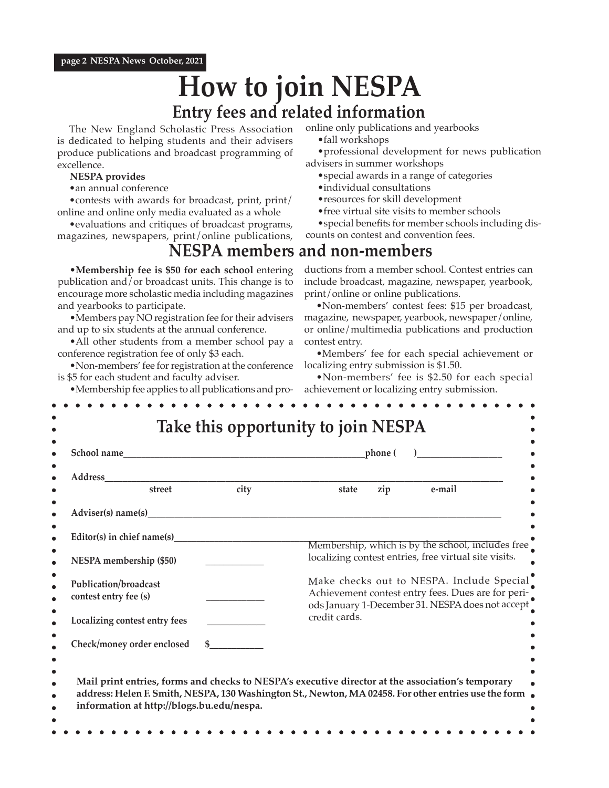#### = **page 2 NESPA News October, 2021**

# **How to join NESPA**

### **Entry fees and related information**

The New England Scholastic Press Association is dedicated to helping students and their advisers produce publications and broadcast programming of excellence.

#### **NESPA provides**

•an annual conference

•contests with awards for broadcast, print, print/ online and online only media evaluated as a whole

•evaluations and critiques of broadcast programs, magazines, newspapers, print/online publications,

•**Membership fee is \$50 for each school** entering publication and/or broadcast units. This change is to encourage more scholastic media including magazines and yearbooks to participate.

•Members pay NO registration fee for their advisers and up to six students at the annual conference.

• All other students from a member school pay a conference registration fee of only \$3 each.

•Non-members' fee for registration at the conference is \$5 for each student and faculty adviser.

•Membership fee applies to all publications and pro-

online only publications and yearbooks

•fall workshops

•professional development for news publication advisers in summer workshops

- •special awards in a range of categories
- •individual consultations
- •resources for skill development
- •free virtual site visits to member schools
- •special benefits for member schools including dis-

counts on contest and convention fees.

### **NESPA members and non-members**

ductions from a member school. Contest entries can include broadcast, magazine, newspaper, yearbook, print/online or online publications.

•Non-members' contest fees: \$15 per broadcast, magazine, newspaper, yearbook, newspaper/online, or online/multimedia publications and production contest entry.

•Members' fee for each special achievement or localizing entry submission is \$1.50.

•Non-members' fee is \$2.50 for each special achievement or localizing entry submission.

| Address<br>city<br>street<br>Adviser(s) name(s)                                                   | e-mail<br>zip<br>state                                                                                                                                               |
|---------------------------------------------------------------------------------------------------|----------------------------------------------------------------------------------------------------------------------------------------------------------------------|
|                                                                                                   |                                                                                                                                                                      |
|                                                                                                   |                                                                                                                                                                      |
|                                                                                                   |                                                                                                                                                                      |
| Editor(s) in chief name(s)                                                                        |                                                                                                                                                                      |
| NESPA membership (\$50)                                                                           | Membership, which is by the school, includes free<br>localizing contest entries, free virtual site visits.                                                           |
| Publication/broadcast                                                                             | Make checks out to NESPA. Include Special<br>Achievement contest entry fees. Dues are for peri-<br>ods January 1-December 31. NESPA does not accept<br>credit cards. |
| contest entry fee (s)                                                                             |                                                                                                                                                                      |
| Localizing contest entry fees                                                                     |                                                                                                                                                                      |
| Check/money order enclosed                                                                        |                                                                                                                                                                      |
|                                                                                                   |                                                                                                                                                                      |
| Mail print entries, forms and checks to NESPA's executive director at the association's temporary |                                                                                                                                                                      |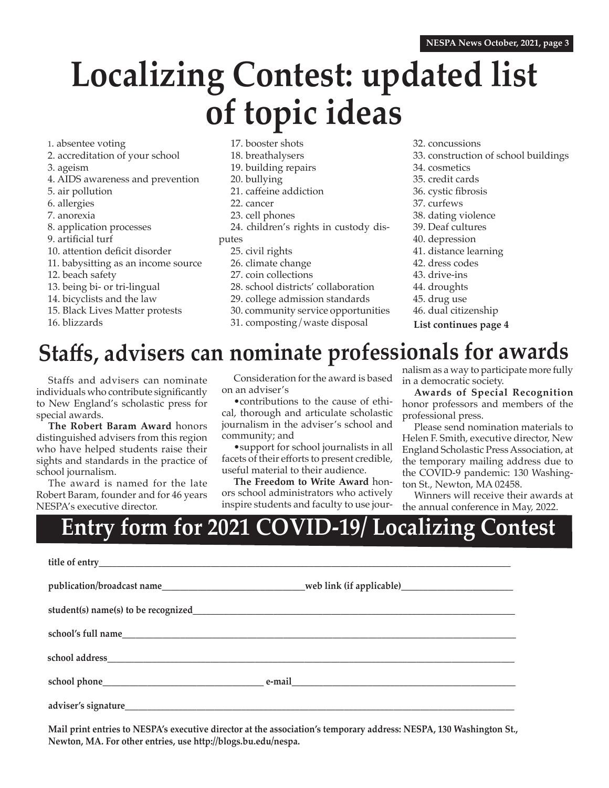# **Localizing Contest: updated list of topic ideas**

1. absentee voting

- 2. accreditation of your school
- 3. ageism
- 4. AIDS awareness and prevention
- 5. air pollution
- 6. allergies
- 7. anorexia
- 8. application processes
- 9. artificial turf
- 10. attention deficit disorder
- 11. babysitting as an income source
- 12. beach safety
- 13. being bi- or tri-lingual
- 14. bicyclists and the law
- 15. Black Lives Matter protests
- 16. blizzards
- 17. booster shots
- 18. breathalysers 19. building repairs
- 20. bullying
- 21. caffeine addiction
- 22. cancer
- 23. cell phones
- 24. children's rights in custody dis-
- putes
	- 25. civil rights
	- 26. climate change
	- 27. coin collections
	- 28. school districts' collaboration
	- 29. college admission standards
	- 30. community service opportunities
	- 31. composting/waste disposal
- 32. concussions
- 33. construction of school buildings
- 34. cosmetics
- 35. credit cards
- 36. cystic fibrosis
- 37. curfews
- 38. dating violence
- 39. Deaf cultures
- 40. depression
- 41. distance learning
- 42. dress codes
- 43. drive-ins
- 44. droughts
- 45. drug use
- **List continues page 4** 46. dual citizenship

# **Staffs, advisers can nominate professionals for awards**

Staffs and advisers can nominate individuals who contribute significantly to New England's scholastic press for special awards.

**The Robert Baram Award** honors distinguished advisers from this region who have helped students raise their sights and standards in the practice of school journalism.

The award is named for the late Robert Baram, founder and for 46 years NESPA's executive director.

Consideration for the award is based on an adviser's

•contributions to the cause of ethical, thorough and articulate scholastic journalism in the adviser's school and community; and

•support for school journalists in all facets of their efforts to present credible, useful material to their audience.

**The Freedom to Write Award** honors school administrators who actively inspire students and faculty to use journalism as a way to participate more fully in a democratic society.

**Awards of Special Recognition** honor professors and members of the professional press.

Please send nomination materials to Helen F. Smith, executive director, New England Scholastic Press Association, at the temporary mailing address due to the COVID-9 pandemic: 130 Washington St., Newton, MA 02458.

Winners will receive their awards at the annual conference in May, 2022.

# **Entry form for 2021 COVID-19/ Localizing Contest**

| publication/broadcast name__________________________________web link (if applicable)________________ |
|------------------------------------------------------------------------------------------------------|
|                                                                                                      |
|                                                                                                      |
|                                                                                                      |
|                                                                                                      |
|                                                                                                      |

**Mail print entries to NESPA's executive director at the association's temporary address: NESPA, 130 Washington St., Newton, MA. For other entries, use http://blogs.bu.edu/nespa.**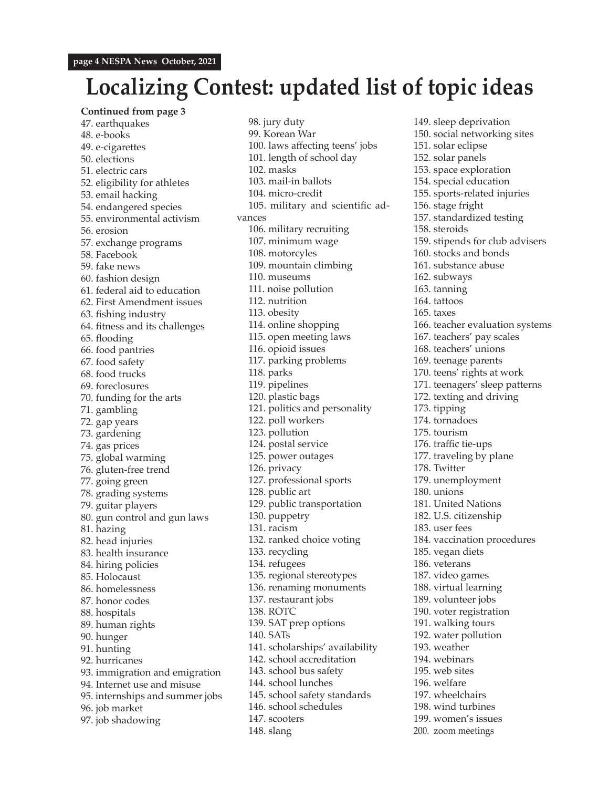## **Localizing Contest: updated list of topic ideas**

**Continued from page 3** 47. earthquakes 48. e-books 49. e-cigarettes 50. elections 51. electric cars 52. eligibility for athletes 53. email hacking 54. endangered species 55. environmental activism 56. erosion 57. exchange programs 58. Facebook 59. fake news 60. fashion design 61. federal aid to education 62. First Amendment issues 63. fishing industry 64. fitness and its challenges 65. flooding 66. food pantries 67. food safety 68. food trucks 69. foreclosures 70. funding for the arts 71. gambling 72. gap years 73. gardening 74. gas prices 75. global warming 76. gluten-free trend 77. going green 78. grading systems 79. guitar players 80. gun control and gun laws 81. hazing 82. head injuries 83. health insurance 84. hiring policies 85. Holocaust 86. homelessness 87. honor codes 88. hospitals 89. human rights 90. hunger 91. hunting 92. hurricanes 93. immigration and emigration 94. Internet use and misuse 95. internships and summer jobs 96. job market 97. job shadowing

98. jury duty 99. Korean War 100. laws affecting teens' jobs 101. length of school day 102. masks 103. mail-in ballots 104. micro-credit 105. military and scientific advances 106. military recruiting 107. minimum wage 108. motorcyles 109. mountain climbing 110. museums 111. noise pollution 112. nutrition 113. obesity 114. online shopping 115. open meeting laws 116. opioid issues 117. parking problems 118. parks 119. pipelines 120. plastic bags 121. politics and personality 122. poll workers 123. pollution 124. postal service 125. power outages 126. privacy 127. professional sports 128. public art 129. public transportation 130. puppetry 131. racism 132. ranked choice voting 133. recycling 134. refugees 135. regional stereotypes 136. renaming monuments 137. restaurant jobs 138. ROTC 139. SAT prep options 140. SATs 141. scholarships' availability 142. school accreditation 143. school bus safety 144. school lunches 145. school safety standards 146. school schedules 147. scooters 148. slang

149. sleep deprivation 150. social networking sites 151. solar eclipse 152. solar panels 153. space exploration 154. special education 155. sports-related injuries 156. stage fright 157. standardized testing 158. steroids 159. stipends for club advisers 160. stocks and bonds 161. substance abuse 162. subways 163. tanning 164. tattoos 165. taxes 166. teacher evaluation systems 167. teachers' pay scales 168. teachers' unions 169. teenage parents 170. teens' rights at work 171. teenagers' sleep patterns 172. texting and driving 173. tipping 174. tornadoes 175. tourism 176. traffic tie-ups 177. traveling by plane 178. Twitter 179. unemployment 180. unions 181. United Nations 182. U.S. citizenship 183. user fees 184. vaccination procedures 185. vegan diets 186. veterans 187. video games 188. virtual learning 189. volunteer jobs 190. voter registration 191. walking tours 192. water pollution 193. weather 194. webinars 195. web sites 196. welfare 197. wheelchairs 198. wind turbines 199. women's issues 200. zoom meetings